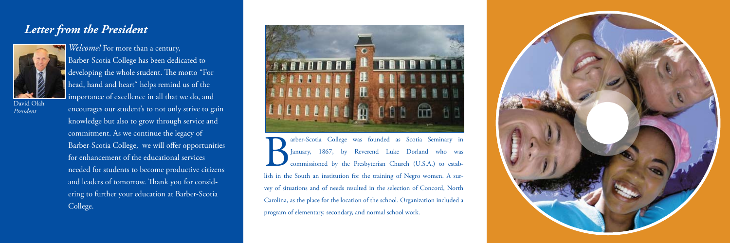## *Letter from the President*



David Olah *President*

Barber-Scotia College has been dedicated to developing the whole student. The motto "For head, hand and heart" helps remind us of the importance of excellence in all that we do, and encourages our student's to not only strive to gain knowledge but also to grow through service and commitment. As we continue the legacy of Barber-Scotia College, we will offer opportunities for enhancement of the educational services needed for students to become productive citizens and leaders of tomorrow. Thank you for considering to further your education at Barber-Scotia College.

*Welcome!* For more than a century,



arber-Scotia College was founded as Scotia Seminary in January, 1867, by Reverend Luke Dorland who was commissioned by the Presbyterian Church (U.S.A.) to establish in the South an institution for the training of Negro wom January, 1867, by Reverend Luke Dorland who was commissioned by the Presbyterian Church (U.S.A.) to establish in the South an institution for the training of Negro women. A survey of situations and of needs resulted in the selection of Concord, North Carolina, as the place for the location of the school. Organization included a program of elementary, secondary, and normal school work.